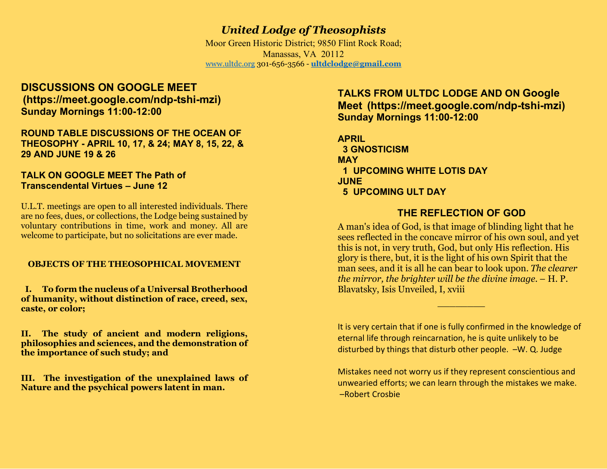# United Lodge of Theosophists

Moor Green Historic District; 9850 Flint Rock Road; Manassas, VA 20112 www.ultdc.org 301-656-3566 - ultdclodge@gmail.com

## DISCUSSIONS ON GOOGLE MEET (https://meet.google.com/ndp-tshi-mzi) Sunday Mornings 11:00-12:00

## ROUND TABLE DISCUSSIONS OF THE OCEAN OF THEOSOPHY - APRIL 10, 17, & 24; MAY 8, 15, 22, & 29 AND JUNE 19 & 26

### TALK ON GOOGLE MEET The Path of Transcendental Virtues – June 12

U.L.T. meetings are open to all interested individuals. There are no fees, dues, or collections, the Lodge being sustained by voluntary contributions in time, work and money. All are welcome to participate, but no solicitations are ever made.

## OBJECTS OF THE THEOSOPHICAL MOVEMENT

 I. To form the nucleus of a Universal Brotherhood of humanity, without distinction of race, creed, sex, caste, or color;

II. The study of ancient and modern religions, philosophies and sciences, and the demonstration of the importance of such study; and

III. The investigation of the unexplained laws of Nature and the psychical powers latent in man.

## TALKS FROM ULTDC LODGE AND ON Google Meet (https://meet.google.com/ndp-tshi-mzi) Sunday Mornings 11:00-12:00

APRIL 3 GNOSTICISM **MAY**  1 UPCOMING WHITE LOTIS DAY JUNE 5 UPCOMING ULT DAY

 $\mathcal{L}_\text{max}$  and  $\mathcal{L}_\text{max}$  and  $\mathcal{L}_\text{max}$  and  $\mathcal{L}_\text{max}$ 

## THE REFLECTION OF GOD

A man's idea of God, is that image of blinding light that he sees reflected in the concave mirror of his own soul, and yet this is not, in very truth, God, but only His reflection. His glory is there, but, it is the light of his own Spirit that the man sees, and it is all he can bear to look upon. The clearer the mirror, the brighter will be the divine image. – H. P. Blavatsky, Isis Unveiled, I, xviii

It is very certain that if one is fully confirmed in the knowledge of eternal life through reincarnation, he is quite unlikely to be disturbed by things that disturb other people. –W. Q. Judge

Mistakes need not worry us if they represent conscientious and unwearied efforts; we can learn through the mistakes we make. –Robert Crosbie